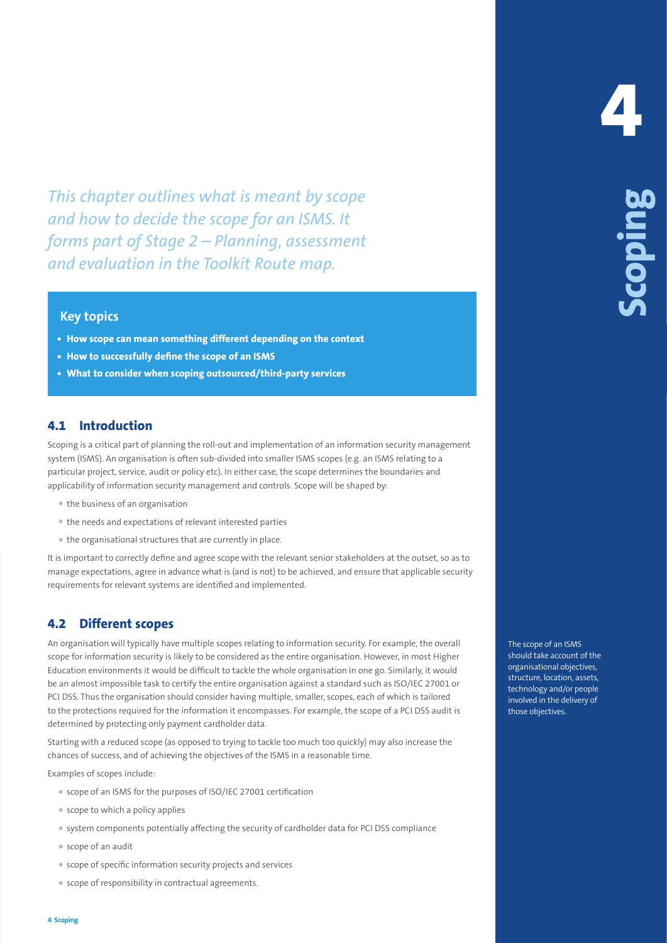*This chapter outlines what is meant by scope and how to decide the scope for an ISMS. It forms part of Stage 2 – Planning, assessment and evaluation in the Toolkit Route map.*

# **Key topics**

- **• How scope can mean something different depending on the context**
- **• How to successfully define the scope of an ISMS**
- **• What to consider when scoping outsourced/third-party services**

# **4.1 Introduction**

Scoping is a critical part of planning the roll-out and implementation of an information security management system (ISMS). An organisation is often sub-divided into smaller ISMS scopes (e.g. an ISMS relating to a particular project, service, audit or policy etc). In either case, the scope determines the boundaries and applicability of information security management and controls. Scope will be shaped by:

- the business of an organisation
- the needs and expectations of relevant interested parties
- the organisational structures that are currently in place.

It is important to correctly define and agree scope with the relevant senior stakeholders at the outset, so as to manage expectations, agree in advance what is (and is not) to be achieved, and ensure that applicable security requirements for relevant systems are identified and implemented.

## **4.2 Different scopes**

This chapter coulding to the mean by scope is the counterparty of the second to the second the second in the Tool list Route energy.<br> **4 4 Scoping Scoping and the Tool list Route energy.<br>
<b>44. However an an experiment** An organisation will typically have multiple scopes relating to information security. For example, the overall scope for information security is likely to be considered as the entire organisation. However, in most Higher Education environments it would be difficult to tackle the whole organisation in one go. Similarly, it would be an almost impossible task to certify the entire organisation against a standard such as ISO/IEC 27001 or PCI DSS. Thus the organisation should consider having multiple, smaller, scopes, each of which is tailored to the protections required for the information it encompasses. For example, the scope of a PCI DSS audit is determined by protecting only payment cardholder data.

Starting with a reduced scope (as opposed to trying to tackle too much too quickly) may also increase the chances of success, and of achieving the objectives of the ISMS in a reasonable time.

Examples of scopes include:

- scope of an ISMS for the purposes of ISO/IEC 27001 certification
- scope to which a policy applies
- system components potentially affecting the security of cardholder data for PCI DSS compliance
- scope of an audit
- scope of specific information security projects and services
- scope of responsibility in contractual agreements.

**4**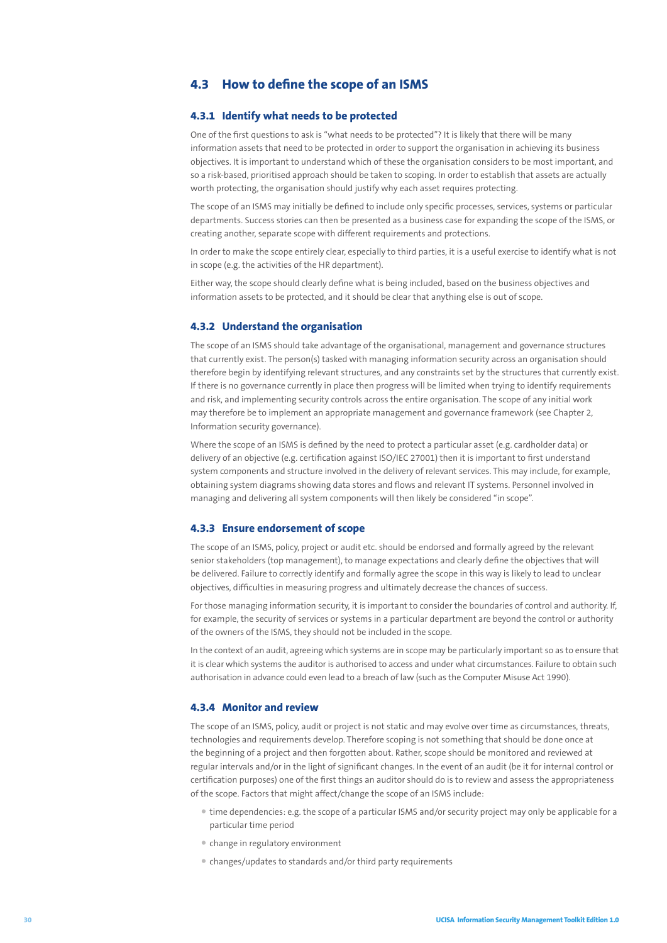# **4.3 How to define the scope of an ISMS**

## **4.3.1 Identify what needs to be protected**

One of the first questions to ask is "what needs to be protected"? It is likely that there will be many information assets that need to be protected in order to support the organisation in achieving its business objectives. It is important to understand which of these the organisation considers to be most important, and so a risk-based, prioritised approach should be taken to scoping. In order to establish that assets are actually worth protecting, the organisation should justify why each asset requires protecting.

The scope of an ISMS may initially be defined to include only specific processes, services, systems or particular departments. Success stories can then be presented as a business case for expanding the scope of the ISMS, or creating another, separate scope with different requirements and protections.

In order to make the scope entirely clear, especially to third parties, it is a useful exercise to identify what is not in scope (e.g. the activities of the HR department).

Either way, the scope should clearly define what is being included, based on the business objectives and information assets to be protected, and it should be clear that anything else is out of scope.

#### **4.3.2 Understand the organisation**

The scope of an ISMS should take advantage of the organisational, management and governance structures that currently exist. The person(s) tasked with managing information security across an organisation should therefore begin by identifying relevant structures, and any constraints set by the structures that currently exist. If there is no governance currently in place then progress will be limited when trying to identify requirements and risk, and implementing security controls across the entire organisation. The scope of any initial work may therefore be to implement an appropriate management and governance framework (see Chapter 2, Information security governance).

Where the scope of an ISMS is defined by the need to protect a particular asset (e.g. cardholder data) or delivery of an objective (e.g. certification against ISO/IEC 27001) then it is important to first understand system components and structure involved in the delivery of relevant services. This may include, for example, obtaining system diagrams showing data stores and flows and relevant IT systems. Personnel involved in managing and delivering all system components will then likely be considered "in scope".

#### **4.3.3 Ensure endorsement of scope**

The scope of an ISMS, policy, project or audit etc. should be endorsed and formally agreed by the relevant senior stakeholders (top management), to manage expectations and clearly define the objectives that will be delivered. Failure to correctly identify and formally agree the scope in this way is likely to lead to unclear objectives, difficulties in measuring progress and ultimately decrease the chances of success.

For those managing information security, it is important to consider the boundaries of control and authority. If, for example, the security of services or systems in a particular department are beyond the control or authority of the owners of the ISMS, they should not be included in the scope.

In the context of an audit, agreeing which systems are in scope may be particularly important so as to ensure that it is clear which systems the auditor is authorised to access and under what circumstances. Failure to obtain such authorisation in advance could even lead to a breach of law (such as the Computer Misuse Act 1990).

#### **4.3.4 Monitor and review**

The scope of an ISMS, policy, audit or project is not static and may evolve over time as circumstances, threats, technologies and requirements develop. Therefore scoping is not something that should be done once at the beginning of a project and then forgotten about. Rather, scope should be monitored and reviewed at regular intervals and/or in the light of significant changes. In the event of an audit (be it for internal control or certification purposes) one of the first things an auditor should do is to review and assess the appropriateness of the scope. Factors that might affect/change the scope of an ISMS include:

- time dependencies: e.g. the scope of a particular ISMS and/or security project may only be applicable for a particular time period
- change in regulatory environment
- changes/updates to standards and/or third party requirements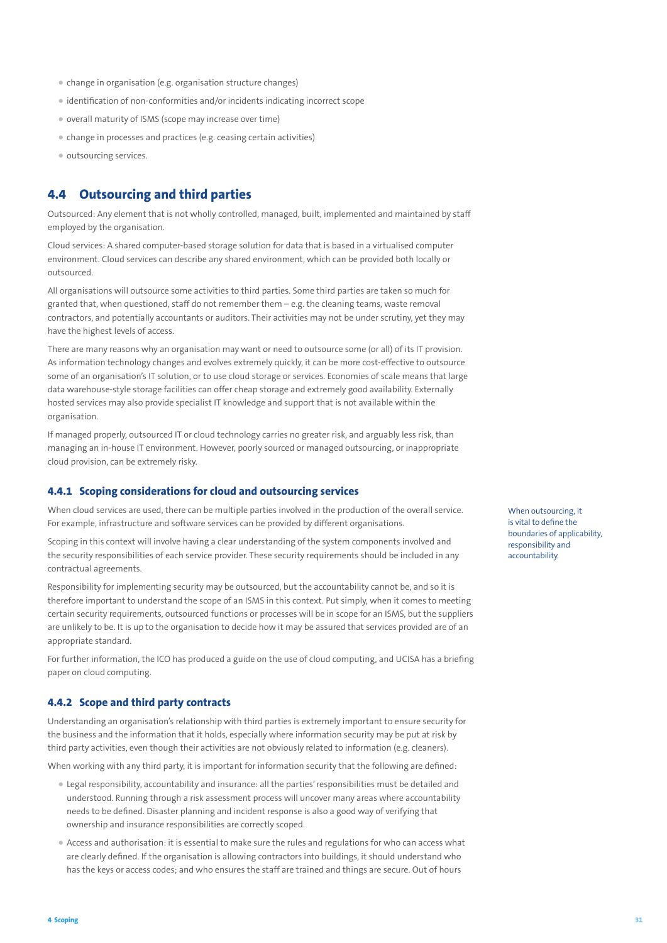- change in organisation (e.g. organisation structure changes)
- identification of non-conformities and/or incidents indicating incorrect scope
- overall maturity of ISMS (scope may increase over time)
- change in processes and practices (e.g. ceasing certain activities)
- outsourcing services.

# **4.4 Outsourcing and third parties**

Outsourced: Any element that is not wholly controlled, managed, built, implemented and maintained by staff employed by the organisation.

Cloud services: A shared computer-based storage solution for data that is based in a virtualised computer environment. Cloud services can describe any shared environment, which can be provided both locally or outsourced.

All organisations will outsource some activities to third parties. Some third parties are taken so much for granted that, when questioned, staff do not remember them – e.g. the cleaning teams, waste removal contractors, and potentially accountants or auditors. Their activities may not be under scrutiny, yet they may have the highest levels of access.

There are many reasons why an organisation may want or need to outsource some (or all) of its IT provision. As information technology changes and evolves extremely quickly, it can be more cost-effective to outsource some of an organisation's IT solution, or to use cloud storage or services. Economies of scale means that large data warehouse-style storage facilities can offer cheap storage and extremely good availability. Externally hosted services may also provide specialist IT knowledge and support that is not available within the organisation.

If managed properly, outsourced IT or cloud technology carries no greater risk, and arguably less risk, than managing an in-house IT environment. However, poorly sourced or managed outsourcing, or inappropriate cloud provision, can be extremely risky.

## **4.4.1 Scoping considerations for cloud and outsourcing services**

When cloud services are used, there can be multiple parties involved in the production of the overall service. For example, infrastructure and software services can be provided by different organisations.

Scoping in this context will involve having a clear understanding of the system components involved and the security responsibilities of each service provider. These security requirements should be included in any contractual agreements.

Responsibility for implementing security may be outsourced, but the accountability cannot be, and so it is therefore important to understand the scope of an ISMS in this context. Put simply, when it comes to meeting certain security requirements, outsourced functions or processes will be in scope for an ISMS, but the suppliers are unlikely to be. It is up to the organisation to decide how it may be assured that services provided are of an appropriate standard.

For further information, the ICO has produced a guide on the use of cloud computing, and UCISA has a briefing paper on cloud computing.

#### **4.4.2 Scope and third party contracts**

Understanding an organisation's relationship with third parties is extremely important to ensure security for the business and the information that it holds, especially where information security may be put at risk by third party activities, even though their activities are not obviously related to information (e.g. cleaners).

When working with any third party, it is important for information security that the following are defined:

- Legal responsibility, accountability and insurance: all the parties' responsibilities must be detailed and understood. Running through a risk assessment process will uncover many areas where accountability needs to be defined. Disaster planning and incident response is also a good way of verifying that ownership and insurance responsibilities are correctly scoped.
- Access and authorisation: it is essential to make sure the rules and regulations for who can access what are clearly defined. If the organisation is allowing contractors into buildings, it should understand who has the keys or access codes; and who ensures the staff are trained and things are secure. Out of hours

When outsourcing, it is vital to define the boundaries of applicability, responsibility and accountability.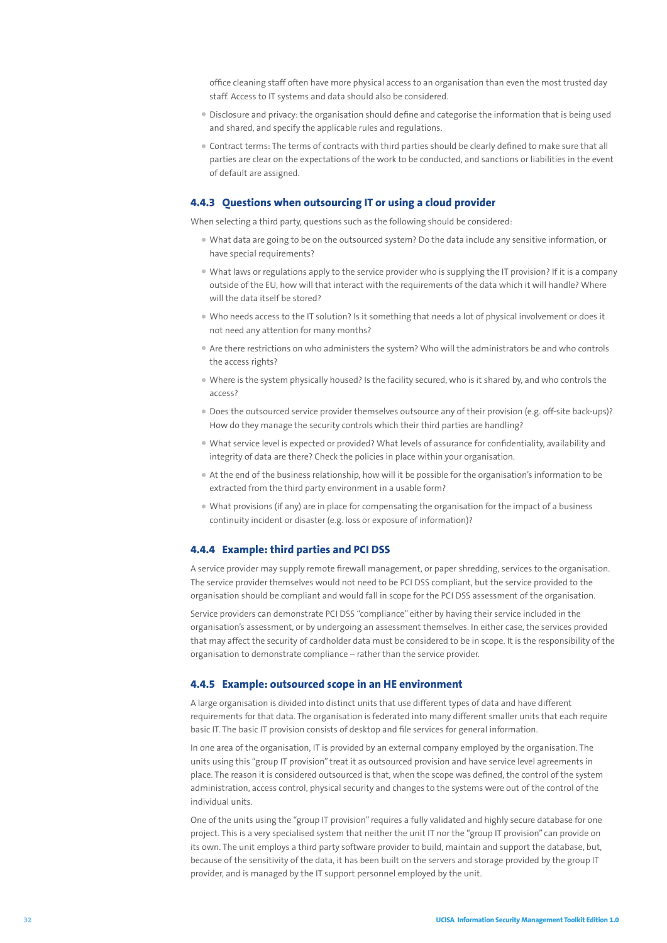office cleaning staff often have more physical access to an organisation than even the most trusted day staff. Access to IT systems and data should also be considered.

- Disclosure and privacy: the organisation should define and categorise the information that is being used and shared, and specify the applicable rules and regulations.
- Contract terms: The terms of contracts with third parties should be clearly defined to make sure that all parties are clear on the expectations of the work to be conducted, and sanctions or liabilities in the event of default are assigned.

### **4.4.3 Questions when outsourcing IT or using a cloud provider**

When selecting a third party, questions such as the following should be considered:

- What data are going to be on the outsourced system? Do the data include any sensitive information, or have special requirements?
- What laws or regulations apply to the service provider who is supplying the IT provision? If it is a company outside of the EU, how will that interact with the requirements of the data which it will handle? Where will the data itself be stored?
- Who needs access to the IT solution? Is it something that needs a lot of physical involvement or does it not need any attention for many months?
- Are there restrictions on who administers the system? Who will the administrators be and who controls the access rights?
- Where is the system physically housed? Is the facility secured, who is it shared by, and who controls the access?
- Does the outsourced service provider themselves outsource any of their provision (e.g. off-site back-ups)? How do they manage the security controls which their third parties are handling?
- What service level is expected or provided? What levels of assurance for confidentiality, availability and integrity of data are there? Check the policies in place within your organisation.
- At the end of the business relationship, how will it be possible for the organisation's information to be extracted from the third party environment in a usable form?
- What provisions (if any) are in place for compensating the organisation for the impact of a business continuity incident or disaster (e.g. loss or exposure of information)?

#### **4.4.4 Example: third parties and PCI DSS**

A service provider may supply remote firewall management, or paper shredding, services to the organisation. The service provider themselves would not need to be PCI DSS compliant, but the service provided to the organisation should be compliant and would fall in scope for the PCI DSS assessment of the organisation.

Service providers can demonstrate PCI DSS "compliance" either by having their service included in the organisation's assessment, or by undergoing an assessment themselves. In either case, the services provided that may affect the security of cardholder data must be considered to be in scope. It is the responsibility of the organisation to demonstrate compliance – rather than the service provider.

#### **4.4.5 Example: outsourced scope in an HE environment**

A large organisation is divided into distinct units that use different types of data and have different requirements for that data. The organisation is federated into many different smaller units that each require basic IT. The basic IT provision consists of desktop and file services for general information.

In one area of the organisation, IT is provided by an external company employed by the organisation. The units using this "group IT provision" treat it as outsourced provision and have service level agreements in place. The reason it is considered outsourced is that, when the scope was defined, the control of the system administration, access control, physical security and changes to the systems were out of the control of the individual units.

One of the units using the "group IT provision" requires a fully validated and highly secure database for one project. This is a very specialised system that neither the unit IT nor the "group IT provision" can provide on its own. The unit employs a third party software provider to build, maintain and support the database, but, because of the sensitivity of the data, it has been built on the servers and storage provided by the group IT provider, and is managed by the IT support personnel employed by the unit.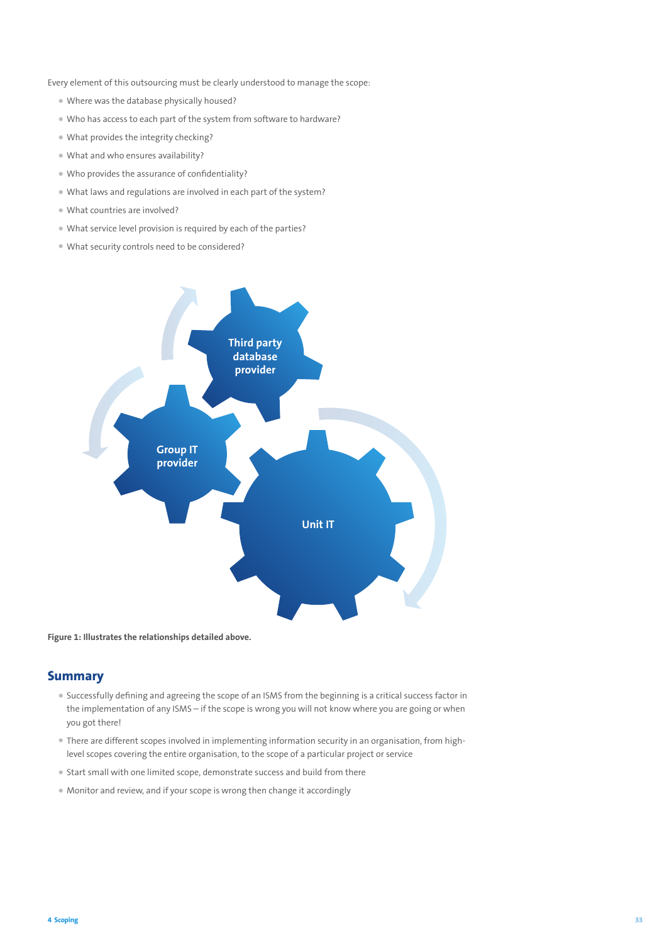Every element of this outsourcing must be clearly understood to manage the scope:

- Where was the database physically housed?
- Who has access to each part of the system from software to hardware?
- What provides the integrity checking?
- What and who ensures availability?
- Who provides the assurance of confidentiality?
- What laws and regulations are involved in each part of the system?
- What countries are involved?
- What service level provision is required by each of the parties?
- What security controls need to be considered?



**Figure 1: Illustrates the relationships detailed above.**

## **Summary**

- Successfully defining and agreeing the scope of an ISMS from the beginning is a critical success factor in the implementation of any ISMS – if the scope is wrong you will not know where you are going or when you got there!
- There are different scopes involved in implementing information security in an organisation, from highlevel scopes covering the entire organisation, to the scope of a particular project or service
- Start small with one limited scope, demonstrate success and build from there
- Monitor and review, and if your scope is wrong then change it accordingly